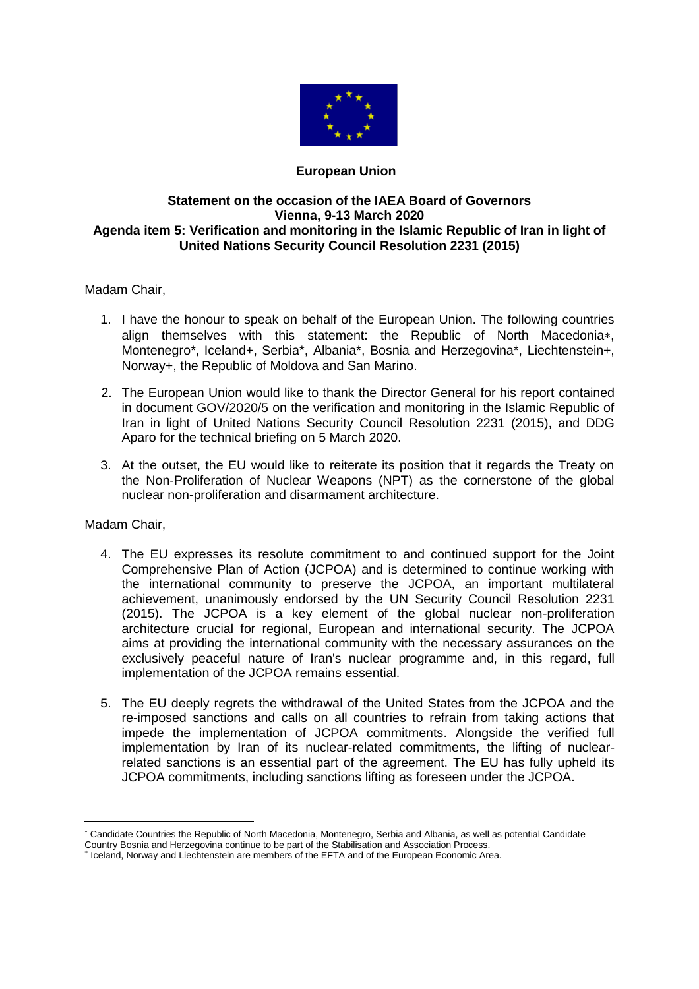

## **European Union**

## **Statement on the occasion of the IAEA Board of Governors Vienna, 9-13 March 2020 Agenda item 5: Verification and monitoring in the Islamic Republic of Iran in light of United Nations Security Council Resolution 2231 (2015)**

Madam Chair,

- 1. I have the honour to speak on behalf of the European Union. The following countries align themselves with this statement: the Republic of North Macedonia\*, Montenegro\*, Iceland+, Serbia\*, Albania\*, Bosnia and Herzegovina\*, Liechtenstein+, Norway+, the Republic of Moldova and San Marino.
- 2. The European Union would like to thank the Director General for his report contained in document GOV/2020/5 on the verification and monitoring in the Islamic Republic of Iran in light of United Nations Security Council Resolution 2231 (2015), and DDG Aparo for the technical briefing on 5 March 2020.
- 3. At the outset, the EU would like to reiterate its position that it regards the Treaty on the Non-Proliferation of Nuclear Weapons (NPT) as the cornerstone of the global nuclear non-proliferation and disarmament architecture.

Madam Chair,

 $\overline{a}$ 

- 4. The EU expresses its resolute commitment to and continued support for the Joint Comprehensive Plan of Action (JCPOA) and is determined to continue working with the international community to preserve the JCPOA, an important multilateral achievement, unanimously endorsed by the UN Security Council Resolution 2231 (2015). The JCPOA is a key element of the global nuclear non-proliferation architecture crucial for regional, European and international security. The JCPOA aims at providing the international community with the necessary assurances on the exclusively peaceful nature of Iran's nuclear programme and, in this regard, full implementation of the JCPOA remains essential.
- 5. The EU deeply regrets the withdrawal of the United States from the JCPOA and the re-imposed sanctions and calls on all countries to refrain from taking actions that impede the implementation of JCPOA commitments. Alongside the verified full implementation by Iran of its nuclear-related commitments, the lifting of nuclearrelated sanctions is an essential part of the agreement. The EU has fully upheld its JCPOA commitments, including sanctions lifting as foreseen under the JCPOA.

Candidate Countries the Republic of North Macedonia, Montenegro, Serbia and Albania, as well as potential Candidate

Country Bosnia and Herzegovina continue to be part of the Stabilisation and Association Process. +

Iceland, Norway and Liechtenstein are members of the EFTA and of the European Economic Area.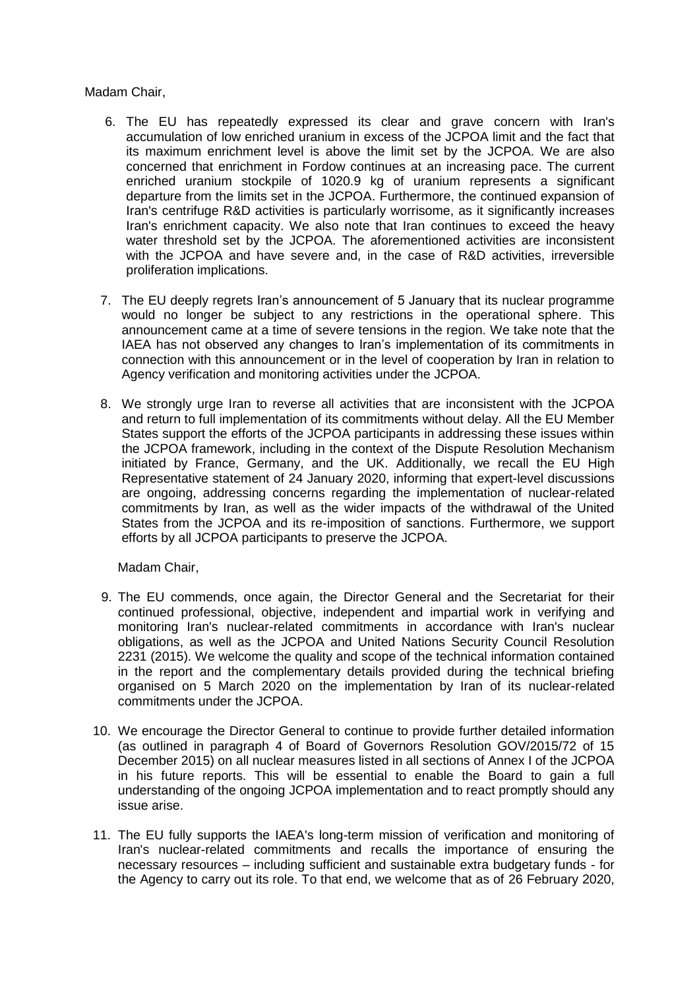Madam Chair,

- 6. The EU has repeatedly expressed its clear and grave concern with Iran's accumulation of low enriched uranium in excess of the JCPOA limit and the fact that its maximum enrichment level is above the limit set by the JCPOA. We are also concerned that enrichment in Fordow continues at an increasing pace. The current enriched uranium stockpile of 1020.9 kg of uranium represents a significant departure from the limits set in the JCPOA. Furthermore, the continued expansion of Iran's centrifuge R&D activities is particularly worrisome, as it significantly increases Iran's enrichment capacity. We also note that Iran continues to exceed the heavy water threshold set by the JCPOA. The aforementioned activities are inconsistent with the JCPOA and have severe and, in the case of R&D activities, irreversible proliferation implications.
- 7. The EU deeply regrets Iran's announcement of 5 January that its nuclear programme would no longer be subject to any restrictions in the operational sphere. This announcement came at a time of severe tensions in the region. We take note that the IAEA has not observed any changes to Iran's implementation of its commitments in connection with this announcement or in the level of cooperation by Iran in relation to Agency verification and monitoring activities under the JCPOA.
- 8. We strongly urge Iran to reverse all activities that are inconsistent with the JCPOA and return to full implementation of its commitments without delay. All the EU Member States support the efforts of the JCPOA participants in addressing these issues within the JCPOA framework, including in the context of the Dispute Resolution Mechanism initiated by France, Germany, and the UK. Additionally, we recall the EU High Representative statement of 24 January 2020, informing that expert-level discussions are ongoing, addressing concerns regarding the implementation of nuclear-related commitments by Iran, as well as the wider impacts of the withdrawal of the United States from the JCPOA and its re-imposition of sanctions. Furthermore, we support efforts by all JCPOA participants to preserve the JCPOA.

Madam Chair,

- 9. The EU commends, once again, the Director General and the Secretariat for their continued professional, objective, independent and impartial work in verifying and monitoring Iran's nuclear-related commitments in accordance with Iran's nuclear obligations, as well as the JCPOA and United Nations Security Council Resolution 2231 (2015). We welcome the quality and scope of the technical information contained in the report and the complementary details provided during the technical briefing organised on 5 March 2020 on the implementation by Iran of its nuclear-related commitments under the JCPOA.
- 10. We encourage the Director General to continue to provide further detailed information (as outlined in paragraph 4 of Board of Governors Resolution GOV/2015/72 of 15 December 2015) on all nuclear measures listed in all sections of Annex I of the JCPOA in his future reports. This will be essential to enable the Board to gain a full understanding of the ongoing JCPOA implementation and to react promptly should any issue arise.
- 11. The EU fully supports the IAEA's long-term mission of verification and monitoring of Iran's nuclear-related commitments and recalls the importance of ensuring the necessary resources – including sufficient and sustainable extra budgetary funds - for the Agency to carry out its role. To that end, we welcome that as of 26 February 2020,